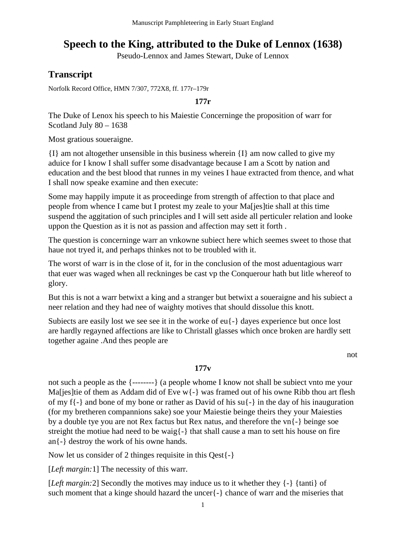# **Speech to the King, attributed to the Duke of Lennox (1638)**

Pseudo-Lennox and James Stewart, Duke of Lennox

## **Transcript**

Norfolk Record Office, HMN 7/307, 772X8, ff. 177r–179r

**177r**

The Duke of Lenox his speech to his Maiestie Concerninge the proposition of warr for Scotland July 80 – 1638

Most gratious soueraigne.

{I} am not altogether unsensible in this business wherein {I} am now called to give my aduice for I know I shall suffer some disadvantage because I am a Scott by nation and education and the best blood that runnes in my veines I haue extracted from thence, and what I shall now speake examine and then execute:

Some may happily impute it as proceedinge from strength of affection to that place and people from whence I came but I protest my zeale to your Ma[jes]tie shall at this time suspend the aggitation of such principles and I will sett aside all perticuler relation and looke uppon the Question as it is not as passion and affection may sett it forth .

The question is concerninge warr an vnkowne subiect here which seemes sweet to those that haue not tryed it, and perhaps thinkes not to be troubled with it.

The worst of warr is in the close of it, for in the conclusion of the most aduentagious warr that euer was waged when all reckninges be cast vp the Conquerour hath but litle whereof to glory.

But this is not a warr betwixt a king and a stranger but betwixt a soueraigne and his subiect a neer relation and they had nee of waighty motives that should dissolue this knott.

Subiects are easily lost we see see it in the worke of eu{-} dayes experience but once lost are hardly regayned affections are like to Christall glasses which once broken are hardly sett together againe .And thes people are

not

#### **177v**

not such a people as the {--------} (a people whome I know not shall be subiect vnto me your Maljes]tie of them as Addam did of Eve w{-} was framed out of his owne Ribb thou art flesh of my f{-} and bone of my bone or rather as David of his su{-} in the day of his inauguration (for my bretheren compannions sake) soe your Maiestie beinge theirs they your Maiesties by a double tye you are not Rex factus but Rex natus, and therefore the vn{-} beinge soe streight the motiue had need to be waig{-} that shall cause a man to sett his house on fire an{-} destroy the work of his owne hands.

Now let us consider of 2 thinges requisite in this Qest{-}

[*Left margin:*1] The necessity of this warr.

[*Left margin:2*] Secondly the motives may induce us to it whether they  $\{-\}$  {tanti} of such moment that a kinge should hazard the uncer{-} chance of warr and the miseries that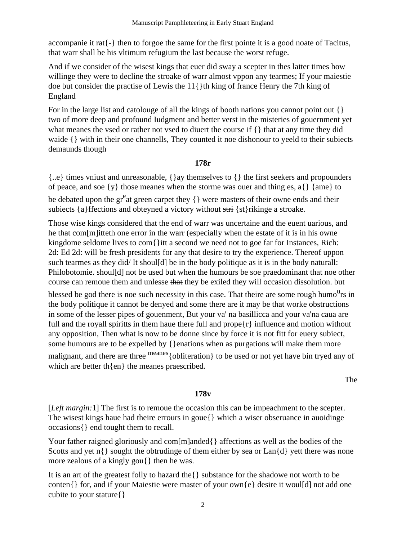accompanie it rat {-} then to forgoe the same for the first pointe it is a good noate of Tacitus, that warr shall be his vltimum refugium the last because the worst refuge.

And if we consider of the wisest kings that euer did sway a scepter in thes latter times how willinge they were to decline the stroake of warr almost vppon any tearmes; If your maiestie doe but consider the practise of Lewis the 11{}th king of france Henry the 7th king of England

For in the large list and catologie of all the kings of booth nations you cannot point out  $\{\}$ two of more deep and profound Iudgment and better verst in the misteries of gouernment yet what meanes the vsed or rather not vsed to diuert the course if {} that at any time they did waide {} with in their one channells, They counted it noe dishonour to yeeld to their subjects demaunds though

#### 178r

 $\{..e\}$  times vniust and unreasonable,  $\{\}$  ay themselves to  $\{\}$  the first seekers and propounders of peace, and soe {y} those meanes when the storme was ouer and thing es,  $a$ } {ame} to be debated upon the  $gr<sup>e</sup>$ at green carpet they { } were masters of their owne ends and their subjects {a} ffections and obteyned a victory without stri {st} rikinge a stroake.

Those wise kings considered that the end of warr was uncertaine and the euent uarious, and he that com[m] itteth one error in the warr (especially when the estate of it is in his owne kingdome seldome lives to com{}itt a second we need not to goe far for Instances, Rich: 2d: Ed 2d: will be fresh presidents for any that desire to try the experience. Thereof uppon such tearmes as they did/It shoul[d] be in the body politique as it is in the body naturall: Philobotomie. shoul[d] not be used but when the humours be soe praedominant that noe other course can remoue them and unlesse that they be exiled they will occasion dissolution. but

blessed be god there is noe such necessity in this case. That theire are some rough humo<sup>u</sup>rs in the body politique it cannot be denyed and some there are it may be that worke obstructions in some of the lesser pipes of gouenment, But your va' na basillicca and your va'na caua are full and the royall spiritts in them have there full and prope $\{r\}$  influence and motion without any opposition, Then what is now to be donne since by force it is not fitt for euery subject, some humours are to be expelled by { } enations when as purgations will make them more malignant, and there are three meanes { obliteration } to be used or not yet have bin tryed any of which are better th{en} the meanes praescribed.

The

#### 178<sub>v</sub>

[*Left margin:* 1] The first is to remoue the occasion this can be impeachment to the scepter. The wisest kings haue had theire errours in goue { } which a wiser observance in auoidinge occasions{} end tought them to recall.

Your father raigned gloriously and com[m]anded{} affections as well as the bodies of the Scotts and yet  $n\{\}$  sought the obtrudinge of them either by sea or  $\text{Lan}\{d\}$  yett there was none more zealous of a kingly gou{ } then he was.

It is an art of the greatest folly to hazard the {} substance for the shadowe not worth to be conten{} for, and if your Maiestie were master of your own{e} desire it woul[d] not add one cubite to your stature { }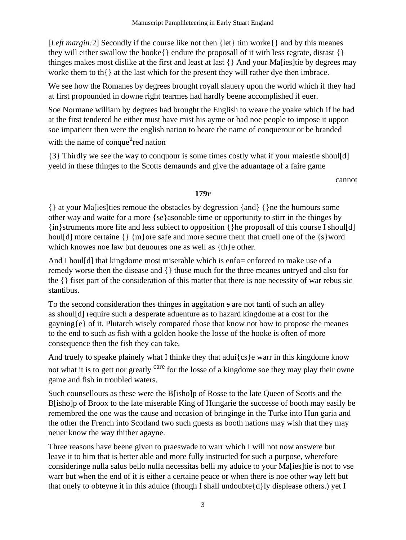[Left margin:2] Secondly if the course like not then {let} tim worke{} and by this meanes they will either swallow the hooke $\{\}$  endure the proposall of it with less regrate, distast  $\{\}$ thinges makes most dislike at the first and least at last { } And your Ma[ies]tie by degrees may worke them to th $\{\}$  at the last which for the present they will rather dye then imbrace.

We see how the Romanes by degrees brought royall slauery upon the world which if they had at first propounded in downe right tearmes had hardly beene accomplished if euer.

Soe Normane william by degrees had brought the English to weare the yoake which if he had at the first tendered he either must have mist his ayme or had noe people to impose it uppon soe impatient then were the english nation to heare the name of conquerour or be branded with the name of conque<sup>u</sup>red nation

{3} Thirdly we see the way to conquour is some times costly what if your majestic shoul[d] yeeld in these thinges to the Scotts demaynds and give the aduantage of a faire game

cannot

#### $179r$

{} at your Malies these removes the obstacles by degression {and} {} he the humours some other way and waite for a more {se}asonable time or opportunity to stirr in the thinges by {in}struments more fite and less subject to opposition {} he proposall of this course I shoul[d] houl[d] more certaine  $\{\}\$  m} ore safe and more secure thent that cruell one of the  $\{s\}$  word which knowes noe law but deuoures one as well as {th}e other.

And I houled that kingdome most miserable which is enforced to make use of a remedy worse then the disease and {} thuse much for the three meanes untryed and also for the {} fiset part of the consideration of this matter that there is noe necessity of war rebus sic stantibus.

To the second consideration thes thinges in aggitation s are not tanti of such an alley as shoul[d] require such a desperate aduenture as to hazard kingdome at a cost for the gayning {e} of it, Plutarch wisely compared those that know not how to propose the meanes to the end to such as fish with a golden hooke the losse of the hooke is often of more consequence then the fish they can take.

And truely to speake plainely what I thinke they that adui{cs}e warr in this kingdome know not what it is to gett nor greatly <sup>care</sup> for the losse of a kingdome soe they may play their owne game and fish in troubled waters.

Such counsellours as these were the B[isho]p of Rosse to the late Queen of Scotts and the B[isho]p of Broox to the late miserable King of Hungarie the successe of booth may easily be remembred the one was the cause and occasion of bringinge in the Turke into Hun garia and the other the French into Scotland two such guests as booth nations may wish that they may neuer know the way thither agayne.

Three reasons have beene given to praeswade to warr which I will not now answere but leave it to him that is better able and more fully instructed for such a purpose, wherefore consideringe nulla salus bello nulla necessitas belli my aduice to your Mass lie is not to vse warr but when the end of it is either a certaine peace or when there is noe other way left but that onely to obteyne it in this aduice (though I shall undoubte  $\{d\}$ ly displease others.) yet I